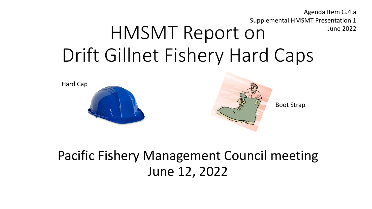HMSMT Report on Drift Gillnet Fishery Hard Caps Agenda Item G.4.a Supplemental HMSMT Presentation 1 June 2022



### Pacific Fishery Management Council meeting June 12, 2022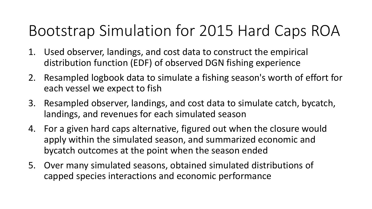# Bootstrap Simulation for 2015 Hard Caps ROA

- 1. Used observer, landings, and cost data to construct the empirical distribution function (EDF) of observed DGN fishing experience
- 2. Resampled logbook data to simulate a fishing season's worth of effort for each vessel we expect to fish
- 3. Resampled observer, landings, and cost data to simulate catch, bycatch, landings, and revenues for each simulated season
- 4. For a given hard caps alternative, figured out when the closure would apply within the simulated season, and summarized economic and bycatch outcomes at the point when the season ended
- 5. Over many simulated seasons, obtained simulated distributions of capped species interactions and economic performance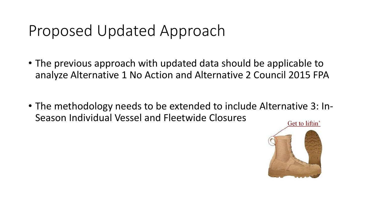### Proposed Updated Approach

- The previous approach with updated data should be applicable to analyze Alternative 1 No Action and Alternative 2 Council 2015 FPA
- The methodology needs to be extended to include Alternative 3: In-Season Individual Vessel and Fleetwide ClosuresGet to liftin'

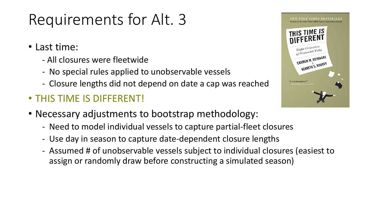# Requirements for Alt. 3

- Last time:
	- All closures were fleetwide
	- No special rules applied to unobservable vessels
	- Closure lengths did not depend on date a cap was reached
- THIS TIME IS DIFFERENT!
- Necessary adjustments to bootstrap methodology:
	- Need to model individual vessels to capture partial-fleet closures
	- Use day in season to capture date-dependent closure lengths
	- Assumed # of unobservable vessels subject to individual closures (easiest to assign or randomly draw before constructing a simulated season)

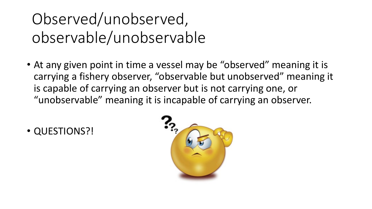# Observed/unobserved, observable/unobservable

- At any given point in time a vessel may be "observed" meaning it is carrying a fishery observer, "observable but unobserved" meaning it is capable of carrying an observer but is not carrying one, or "unobservable" meaning it is incapable of carrying an observer.
- QUESTIONS?!

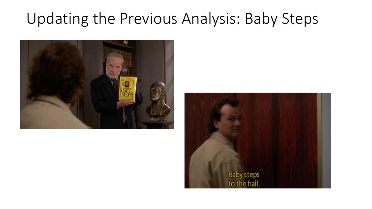### Updating the Previous Analysis: Baby Steps



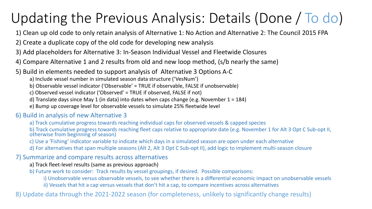# Updating the Previous Analysis: Details (Done / To do)

- 1) Clean up old code to only retain analysis of Alternative 1: No Action and Alternative 2: The Council 2015 FPA
- 2) Create a duplicate copy of the old code for developing new analysis
- 3) Add placeholders for Alternative 3: In-Season Individual Vessel and Fleetwide Closures
- 4) Compare Alternative 1 and 2 results from old and new loop method, (s/b nearly the same)
- 5) Build in elements needed to support analysis of Alternative 3 Options A-C
	- a) Include vessel number in simulated season data structure ('VesNum')
	- b) Observable vessel indicator ('Observable' = TRUE if observable, FALSE if unobservable)
	- c) Observed vessel indicator ('Observed' = TRUE if observed, FALSE if not)
	- d) Translate days since May 1 (in data) into dates when caps change (e.g. November  $1 = 184$ )
	- e) Bump up coverage level for observable vessels to simulate 25% fleetwide level

#### 6) Build in analysis of new Alternative 3

- a) Track cumulative progress towards reaching individual caps for observed vessels & capped species
- b) Track cumulative progress towards reaching fleet caps relative to appropriate date (e.g. November 1 for Alt 3 Opt C Sub-opt II, otherwise from beginning of season)
- c) Use a 'Fishing' indicator variable to indicate which days in a simulated season are open under each alternative
- d) For alternatives that span multiple seasons (Alt 2, Alt 3 Opt C Sub-opt II), add logic to implement multi-season closure

#### 7) Summarize and compare results across alternatives

- a) Track fleet-level results (same as previous approach)
- b) Future work to consider: Track results by vessel groupings, if desired. Possible comparisons:
	- i) Unobservable versus observable vessels, to see whether there is a differential economic impact on unobservable vessels
	- ii) Vessels that hit a cap versus vessels that don't hit a cap, to compare incentives across alternatives
- 8) Update data through the 2021-2022 season (for completeness, unlikely to significantly change results)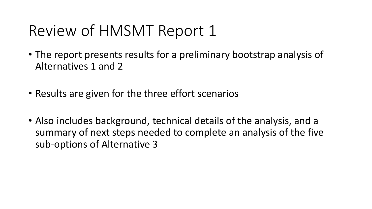## Review of HMSMT Report 1

- The report presents results for a preliminary bootstrap analysis of Alternatives 1 and 2
- Results are given for the three effort scenarios
- Also includes background, technical details of the analysis, and a summary of next steps needed to complete an analysis of the five sub-options of Alternative 3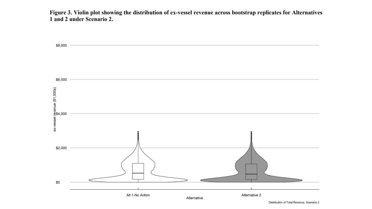Figure 3. Violin plot showing the distribution of ex-vessel revenue across bootstrap replicates for Alternatives 1 and 2 under Scenario 2.



Distribution of Total Revenue, Scenario 2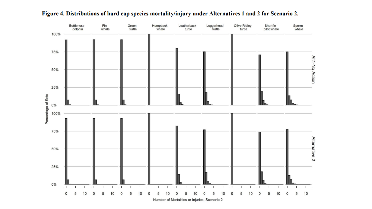

#### Figure 4. Distributions of hard cap species mortality/injury under Alternatives 1 and 2 for Scenario 2.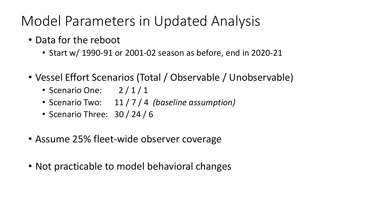### Model Parameters in Updated Analysis

- Data for the reboot
	- Start w/ 1990-91 or 2001-02 season as before, end in 2020-21
- Vessel Effort Scenarios (Total / Observable / Unobservable)
	- Scenario One: 2/1/1
	- Scenario Two: 11 / 7 / 4 *(baseline assumption)*
	- Scenario Three: 30 / 24 / 6
- Assume 25% fleet-wide observer coverage
- Not practicable to model behavioral changes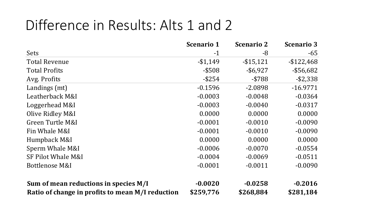### Difference in Results: Alts 1 and 2

|                                                  | <b>Scenario 1</b> | <b>Scenario 2</b> | <b>Scenario 3</b> |
|--------------------------------------------------|-------------------|-------------------|-------------------|
| Sets                                             | $-1$              | -8                | -65               |
| <b>Total Revenue</b>                             | $-$ \$1,149       | $-$ \$15,121      | $-$ \$122,468     |
| <b>Total Profits</b>                             | $-$ \$508         | $-$ \$6,927       | $-$ \$56,682      |
| Avg. Profits                                     | $-$ \$254         | $-$ \$788         | $-$ \$2,338       |
| Landings (mt)                                    | $-0.1596$         | $-2.0898$         | $-16.9771$        |
| Leatherback M&I                                  | $-0.0003$         | $-0.0048$         | $-0.0364$         |
| Loggerhead M&I                                   | $-0.0003$         | $-0.0040$         | $-0.0317$         |
| Olive Ridley M&I                                 | 0.0000            | 0.0000            | 0.0000            |
| Green Turtle M&I                                 | $-0.0001$         | $-0.0010$         | $-0.0090$         |
| Fin Whale M&I                                    | $-0.0001$         | $-0.0010$         | $-0.0090$         |
| Humpback M&I                                     | 0.0000            | 0.0000            | 0.0000            |
| Sperm Whale M&I                                  | $-0.0006$         | $-0.0070$         | $-0.0554$         |
| SF Pilot Whale M&I                               | $-0.0004$         | $-0.0069$         | $-0.0511$         |
| Bottlenose M&I                                   | $-0.0001$         | $-0.0011$         | $-0.0090$         |
| Sum of mean reductions in species M/I            | $-0.0020$         | $-0.0258$         | $-0.2016$         |
| Ratio of change in profits to mean M/I reduction | \$259,776         | \$268,884         | \$281,184         |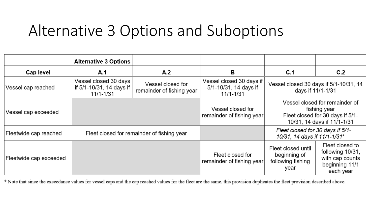### Alternative 3 Options and Suboptions

|                        | <b>Alternative 3 Options</b>                                   |                                                |                                                                    |                                                                                                                   |                                                                                       |
|------------------------|----------------------------------------------------------------|------------------------------------------------|--------------------------------------------------------------------|-------------------------------------------------------------------------------------------------------------------|---------------------------------------------------------------------------------------|
| Cap level              | A.1                                                            | A.2                                            | в                                                                  | C.1                                                                                                               | C.2                                                                                   |
| Vessel cap reached     | Vessel closed 30 days<br>if 5/1-10/31, 14 days if<br>11/1-1/31 | Vessel closed for<br>remainder of fishing year | Vessel closed 30 days if<br>5/1-10/31, 14 days if<br>$11/1 - 1/31$ | Vessel closed 30 days if 5/1-10/31, 14<br>days if 11/1-1/31                                                       |                                                                                       |
| Vessel cap exceeded    |                                                                |                                                | Vessel closed for<br>remainder of fishing year                     | Vessel closed for remainder of<br>fishing year<br>Fleet closed for 30 days if 5/1-<br>10/31, 14 days if 11/1-1/31 |                                                                                       |
| Fleetwide cap reached  | Fleet closed for remainder of fishing year                     |                                                |                                                                    | Fleet closed for 30 days if 5/1-<br>10/31, 14 days if 11/1-1/31*                                                  |                                                                                       |
| Fleetwide cap exceeded |                                                                |                                                | Fleet closed for<br>remainder of fishing year                      | Fleet closed until<br>beginning of<br>following fishing<br>year                                                   | Fleet closed to<br>following 10/31,<br>with cap counts<br>beginning 11/1<br>each year |

\* Note that since the exceedance values for vessel caps and the cap reached values for the fleet are the same, this provision duplicates the fleet provision described above.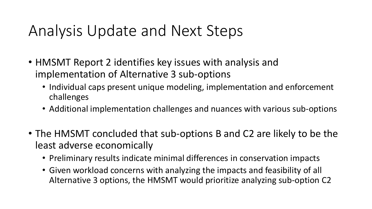## Analysis Update and Next Steps

- HMSMT Report 2 identifies key issues with analysis and implementation of Alternative 3 sub-options
	- Individual caps present unique modeling, implementation and enforcement challenges
	- Additional implementation challenges and nuances with various sub-options
- The HMSMT concluded that sub-options B and C2 are likely to be the least adverse economically
	- Preliminary results indicate minimal differences in conservation impacts
	- Given workload concerns with analyzing the impacts and feasibility of all Alternative 3 options, the HMSMT would prioritize analyzing sub-option C2